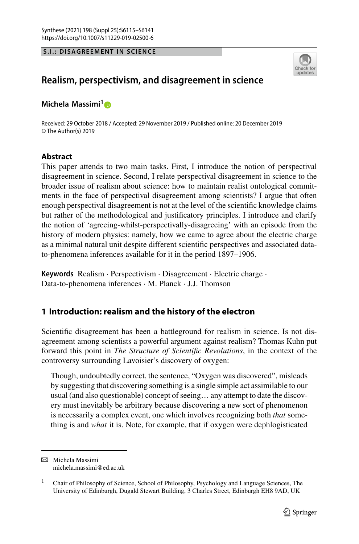**S.I.: DISAGREEMENT IN SCIENCE**



# **Realism, perspectivism, and disagreement in science**

**Michela Massimi1**

Received: 29 October 2018 / Accepted: 29 November 2019 / Published online: 20 December 2019 © The Author(s) 2019

### **Abstract**

This paper attends to two main tasks. First, I introduce the notion of perspectival disagreement in science. Second, I relate perspectival disagreement in science to the broader issue of realism about science: how to maintain realist ontological commitments in the face of perspectival disagreement among scientists? I argue that often enough perspectival disagreement is not at the level of the scientific knowledge claims but rather of the methodological and justificatory principles. I introduce and clarify the notion of 'agreeing-whilst-perspectivally-disagreeing' with an episode from the history of modern physics: namely, how we came to agree about the electric charge as a minimal natural unit despite different scientific perspectives and associated datato-phenomena inferences available for it in the period 1897–1906.

**Keywords** Realism · Perspectivism · Disagreement · Electric charge · Data-to-phenomena inferences · M. Planck · J.J. Thomson

## <span id="page-0-0"></span>**1 Introduction: realism and the history of the electron**

Scientific disagreement has been a battleground for realism in science. Is not disagreement among scientists a powerful argument against realism? Thomas Kuhn put forward this point in *The Structure of Scientific Revolutions*, in the context of the controversy surrounding Lavoisier's discovery of oxygen:

Though, undoubtedly correct, the sentence, "Oxygen was discovered", misleads by suggesting that discovering something is a single simple act assimilable to our usual (and also questionable) concept of seeing… any attempt to date the discovery must inevitably be arbitrary because discovering a new sort of phenomenon is necessarily a complex event, one which involves recognizing both *that* something is and *what* it is. Note, for example, that if oxygen were dephlogisticated

 $\boxtimes$  Michela Massimi michela.massimi@ed.ac.uk

<sup>&</sup>lt;sup>1</sup> Chair of Philosophy of Science, School of Philosophy, Psychology and Language Sciences, The University of Edinburgh, Dugald Stewart Building, 3 Charles Street, Edinburgh EH8 9AD, UK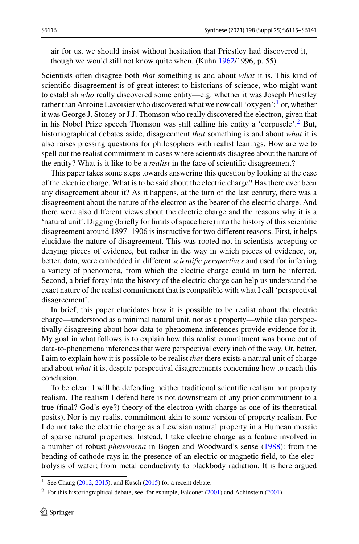air for us, we should insist without hesitation that Priestley had discovered it, though we would still not know quite when. (Kuhn [1962/](#page-25-0)1996, p. 55)

Scientists often disagree both *that* something is and about *what* it is. This kind of scientific disagreement is of great interest to historians of science, who might want to establish *who* really discovered some entity—e.g. whether it was Joseph Priestley rather than Antoine Lavoisier who discovered what we now call 'oxygen';<sup>[1](#page-1-0)</sup> or, whether it was George J. Stoney or J.J. Thomson who really discovered the electron, given that in his Nobel Prize speech Thomson was still calling his entity a 'corpuscle'[.2](#page-1-1) But, historiographical debates aside, disagreement *that* something is and about *what* it is also raises pressing questions for philosophers with realist leanings. How are we to spell out the realist commitment in cases where scientists disagree about the nature of the entity? What is it like to be a *realist* in the face of scientific disagreement?

This paper takes some steps towards answering this question by looking at the case of the electric charge. What is to be said about the electric charge? Has there ever been any disagreement about it? As it happens, at the turn of the last century, there was a disagreement about the nature of the electron as the bearer of the electric charge. And there were also different views about the electric charge and the reasons why it is a 'natural unit'. Digging (briefly for limits of space here) into the history of this scientific disagreement around 1897–1906 is instructive for two different reasons. First, it helps elucidate the nature of disagreement. This was rooted not in scientists accepting or denying pieces of evidence, but rather in the way in which pieces of evidence, or, better, data, were embedded in different *scientific perspectives* and used for inferring a variety of phenomena, from which the electric charge could in turn be inferred. Second, a brief foray into the history of the electric charge can help us understand the exact nature of the realist commitment that is compatible with what I call 'perspectival disagreement'.

In brief, this paper elucidates how it is possible to be realist about the electric charge—understood as a minimal natural unit, not as a property—while also perspectivally disagreeing about how data-to-phenomena inferences provide evidence for it. My goal in what follows is to explain how this realist commitment was borne out of data-to-phenomena inferences that were perspectival every inch of the way. Or, better, I aim to explain how it is possible to be realist *that* there exists a natural unit of charge and about *what* it is, despite perspectival disagreements concerning how to reach this conclusion.

To be clear: I will be defending neither traditional scientific realism nor property realism. The realism I defend here is not downstream of any prior commitment to a true (final? God's-eye?) theory of the electron (with charge as one of its theoretical posits). Nor is my realist commitment akin to some version of property realism. For I do not take the electric charge as a Lewisian natural property in a Humean mosaic of sparse natural properties. Instead, I take electric charge as a feature involved in a number of robust *phenomena* in Bogen and Woodward's sense [\(1988\)](#page-25-1): from the bending of cathode rays in the presence of an electric or magnetic field, to the electrolysis of water; from metal conductivity to blackbody radiation. It is here argued

<span id="page-1-1"></span><span id="page-1-0"></span><sup>&</sup>lt;sup>1</sup> See Chang [\(2012,](#page-25-2) [2015\)](#page-25-3), and Kusch [\(2015\)](#page-25-4) for a recent debate.

<sup>&</sup>lt;sup>2</sup> For this historiographical debate, see, for example, Falconer  $(2001)$  and Achinstein (2001).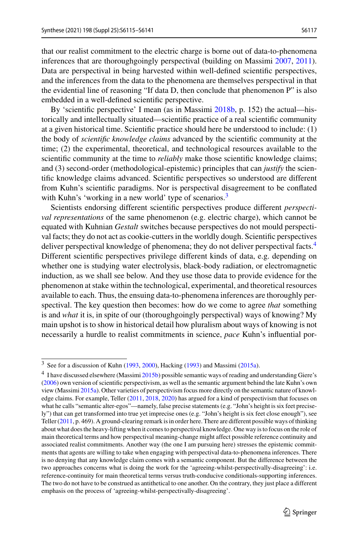that our realist commitment to the electric charge is borne out of data-to-phenomena inferences that are thoroughgoingly perspectival (building on Massimi [2007,](#page-25-7) [2011\)](#page-25-8). Data are perspectival in being harvested within well-defined scientific perspectives, and the inferences from the data to the phenomena are themselves perspectival in that the evidential line of reasoning "If data D, then conclude that phenomenon P" is also embedded in a well-defined scientific perspective.

By 'scientific perspective' I mean (as in Massimi [2018b,](#page-26-0) p. 152) the actual—historically and intellectually situated—scientific practice of a real scientific community at a given historical time. Scientific practice should here be understood to include: (1) the body of *scientific knowledge claims* advanced by the scientific community at the time; (2) the experimental, theoretical, and technological resources available to the scientific community at the time to *reliably* make those scientific knowledge claims; and (3) second-order (methodological-epistemic) principles that can *justify* the scientific knowledge claims advanced. Scientific perspectives so understood are different from Kuhn's scientific paradigms. Nor is perspectival disagreement to be conflated with Kuhn's 'working in a new world' type of scenarios. $3$ 

Scientists endorsing different scientific perspectives produce different *perspectival representations* of the same phenomenon (e.g. electric charge), which cannot be equated with Kuhnian *Gestalt* switches because perspectives do not mould perspectival facts; they do not act as cookie-cutters in the worldly dough. Scientific perspectives deliver perspectival knowledge of phenomena; they do not deliver perspectival facts.<sup>[4](#page-2-1)</sup> Different scientific perspectives privilege different kinds of data, e.g. depending on whether one is studying water electrolysis, black-body radiation, or electromagnetic induction, as we shall see below. And they use those data to provide evidence for the phenomenon at stake within the technological, experimental, and theoretical resources available to each. Thus, the ensuing data-to-phenomena inferences are thoroughly perspectival. The key question then becomes: how do we come to agree *that* something is and *what* it is, in spite of our (thoroughgoingly perspectival) ways of knowing? My main upshot is to show in historical detail how pluralism about ways of knowing is not necessarily a hurdle to realist commitments in science, *pace* Kuhn's influential por-

<span id="page-2-1"></span><span id="page-2-0"></span> $3$  See for a discussion of Kuhn [\(1993,](#page-25-9) [2000\)](#page-25-10), Hacking [\(1993\)](#page-25-11) and Massimi [\(2015a\)](#page-26-1).

<sup>&</sup>lt;sup>4</sup> I have discussed elsewhere (Massimi [2015b\)](#page-26-2) possible semantic ways of reading and understanding Giere's [\(2006\)](#page-25-12) own version of scientific perspectivism, as well as the semantic argument behind the late Kuhn's own view (Massimi [2015a\)](#page-26-1). Other varieties of perspectivism focus more directly on the semantic nature of knowledge claims. For example, Teller [\(2011,](#page-26-3) [2018,](#page-26-4) [2020\)](#page-26-5) has argued for a kind of perspectivism that focuses on what he calls "semantic alter-egos"—namely, false precise statements (e.g. "John's height is six feet precisely") that can get transformed into true yet imprecise ones (e.g. "John's height is six feet close enough"), see Teller [\(2011,](#page-26-3) p. 469). A ground-clearing remark is in order here. There are different possible ways of thinking about what does the heavy-lifting when it comes to perspectival knowledge. One way is to focus on the role of main theoretical terms and how perspectival meaning-change might affect possible reference continuity and associated realist commitments. Another way (the one I am pursuing here) stresses the epistemic commitments that agents are willing to take when engaging with perspectival data-to-phenomena inferences. There is no denying that any knowledge claim comes with a semantic component. But the difference between the two approaches concerns what is doing the work for the 'agreeing-whilst-perspectivally-disagreeing': i.e. reference-continuity for main theoretical terms versus truth-conducive conditionals-supporting inferences. The two do not have to be construed as antithetical to one another. On the contrary, they just place a different emphasis on the process of 'agreeing-whilst-perspectivally-disagreeing'.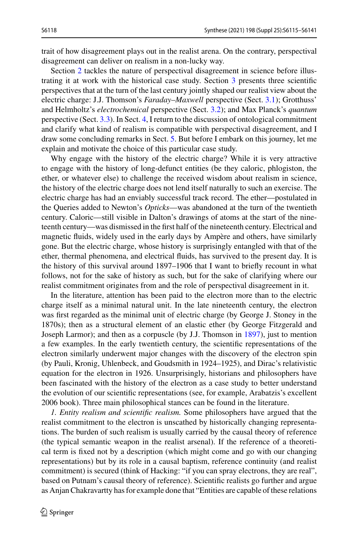trait of how disagreement plays out in the realist arena. On the contrary, perspectival disagreement can deliver on realism in a non-lucky way.

Section [2](#page-5-0) tackles the nature of perspectival disagreement in science before illustrating it at work with the historical case study. Section [3](#page-11-0) presents three scientific perspectives that at the turn of the last century jointly shaped our realist view about the electric charge: J.J. Thomson's *Faraday*–*Maxwell* perspective (Sect. [3.1\)](#page-11-1); Grotthuss' and Helmholtz's *electrochemical* perspective (Sect. [3.2\)](#page-15-0); and Max Planck's *quantum* perspective (Sect. [3.3\)](#page-17-0). In Sect. [4,](#page-20-0) I return to the discussion of ontological commitment and clarify what kind of realism is compatible with perspectival disagreement, and I draw some concluding remarks in Sect. [5.](#page-23-0) But before I embark on this journey, let me explain and motivate the choice of this particular case study.

Why engage with the history of the electric charge? While it is very attractive to engage with the history of long-defunct entities (be they caloric, phlogiston, the ether, or whatever else) to challenge the received wisdom about realism in science, the history of the electric charge does not lend itself naturally to such an exercise. The electric charge has had an enviably successful track record. The ether—postulated in the Queries added to Newton's *Opticks*—was abandoned at the turn of the twentieth century. Caloric—still visible in Dalton's drawings of atoms at the start of the nineteenth century—was dismissed in the first half of the nineteenth century. Electrical and magnetic fluids, widely used in the early days by Ampère and others, have similarly gone. But the electric charge, whose history is surprisingly entangled with that of the ether, thermal phenomena, and electrical fluids, has survived to the present day. It is the history of this survival around 1897–1906 that I want to briefly recount in what follows, not for the sake of history as such, but for the sake of clarifying where our realist commitment originates from and the role of perspectival disagreement in it.

In the literature, attention has been paid to the electron more than to the electric charge itself as a minimal natural unit. In the late nineteenth century, the electron was first regarded as the minimal unit of electric charge (by George J. Stoney in the 1870s); then as a structural element of an elastic ether (by George Fitzgerald and Joseph Larmor); and then as a corpuscle (by J.J. Thomson in [1897\)](#page-26-6), just to mention a few examples. In the early twentieth century, the scientific representations of the electron similarly underwent major changes with the discovery of the electron spin (by Pauli, Kronig, Uhlenbeck, and Goudsmith in 1924–1925), and Dirac's relativistic equation for the electron in 1926. Unsurprisingly, historians and philosophers have been fascinated with the history of the electron as a case study to better understand the evolution of our scientific representations (see, for example, Arabatzis's excellent 2006 book). Three main philosophical stances can be found in the literature.

*1. Entity realism and scientific realism.* Some philosophers have argued that the realist commitment to the electron is unscathed by historically changing representations. The burden of such realism is usually carried by the causal theory of reference (the typical semantic weapon in the realist arsenal). If the reference of a theoretical term is fixed not by a description (which might come and go with our changing representations) but by its role in a causal baptism, reference continuity (and realist commitment) is secured (think of Hacking: "if you can spray electrons, they are real", based on Putnam's causal theory of reference). Scientific realists go further and argue as Anjan Chakravartty has for example done that "Entities are capable of these relations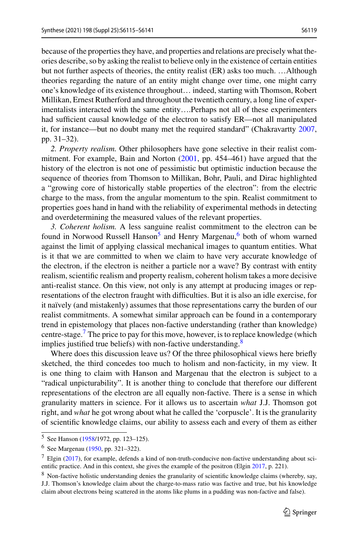because of the properties they have, and properties and relations are precisely what theories describe, so by asking the realist to believe only in the existence of certain entities but not further aspects of theories, the entity realist (ER) asks too much. …Although theories regarding the nature of an entity might change over time, one might carry one's knowledge of its existence throughout… indeed, starting with Thomson, Robert Millikan, Ernest Rutherford and throughout the twentieth century, a long line of experimentalists interacted with the same entity….Perhaps not all of these experimenters had sufficient causal knowledge of the electron to satisfy ER—not all manipulated it, for instance—but no doubt many met the required standard" (Chakravartty [2007,](#page-25-13) pp. 31–32).

*2. Property realism.* Other philosophers have gone selective in their realist commitment. For example, Bain and Norton [\(2001,](#page-25-14) pp. 454–461) have argued that the history of the electron is not one of pessimistic but optimistic induction because the sequence of theories from Thomson to Millikan, Bohr, Pauli, and Dirac highlighted a "growing core of historically stable properties of the electron": from the electric charge to the mass, from the angular momentum to the spin. Realist commitment to properties goes hand in hand with the reliability of experimental methods in detecting and overdetermining the measured values of the relevant properties.

*3. Coherent holism.* A less sanguine realist commitment to the electron can be found in Norwood Russell Hanson<sup>5</sup> and Henry Margenau,<sup>6</sup> both of whom warned against the limit of applying classical mechanical images to quantum entities. What is it that we are committed to when we claim to have very accurate knowledge of the electron, if the electron is neither a particle nor a wave? By contrast with entity realism, scientific realism and property realism, coherent holism takes a more decisive anti-realist stance. On this view, not only is any attempt at producing images or representations of the electron fraught with difficulties. But it is also an idle exercise, for it naïvely (and mistakenly) assumes that those representations carry the burden of our realist commitments. A somewhat similar approach can be found in a contemporary trend in epistemology that places non-factive understanding (rather than knowledge) centre-stage.<sup>7</sup> The price to pay for this move, however, is to replace knowledge (which implies justified true beliefs) with non-factive understanding.<sup>[8](#page-4-3)</sup>

Where does this discussion leave us? Of the three philosophical views here briefly sketched, the third concedes too much to holism and non-facticity, in my view. It is one thing to claim with Hanson and Margenau that the electron is subject to a "radical unpicturability". It is another thing to conclude that therefore our different representations of the electron are all equally non-factive. There is a sense in which granularity matters in science. For it allows us to ascertain *what* J.J. Thomson got right, and *what* he got wrong about what he called the 'corpuscle'. It is the granularity of scientific knowledge claims, our ability to assess each and every of them as either

<span id="page-4-1"></span><span id="page-4-0"></span><sup>5</sup> See Hanson [\(1958/](#page-25-15)1972, pp. 123–125).

<span id="page-4-2"></span><sup>6</sup> See Margenau [\(1950,](#page-25-16) pp. 321–322).

<span id="page-4-3"></span> $7$  Elgin [\(2017\)](#page-25-17), for example, defends a kind of non-truth-conducive non-factive understanding about scientific practice. And in this context, she gives the example of the positron (Elgin [2017,](#page-25-17) p. 221).

<sup>8</sup> Non-factive holistic understanding denies the granularity of scientific knowledge claims (whereby, say, J.J. Thomson's knowledge claim about the charge-to-mass ratio was factive and true, but his knowledge claim about electrons being scattered in the atoms like plums in a pudding was non-factive and false).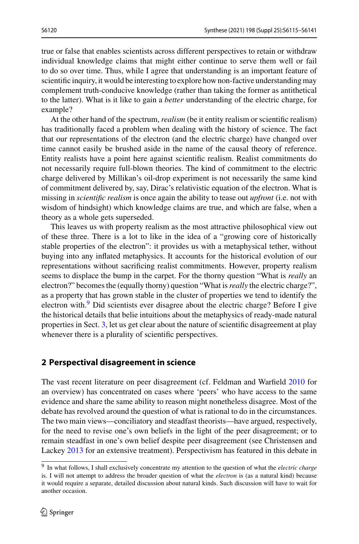true or false that enables scientists across different perspectives to retain or withdraw individual knowledge claims that might either continue to serve them well or fail to do so over time. Thus, while I agree that understanding is an important feature of scientific inquiry, it would be interesting to explore how non-factive understanding may complement truth-conducive knowledge (rather than taking the former as antithetical to the latter). What is it like to gain a *better* understanding of the electric charge, for example?

At the other hand of the spectrum, *realism* (be it entity realism or scientific realism) has traditionally faced a problem when dealing with the history of science. The fact that our representations of the electron (and the electric charge) have changed over time cannot easily be brushed aside in the name of the causal theory of reference. Entity realists have a point here against scientific realism. Realist commitments do not necessarily require full-blown theories. The kind of commitment to the electric charge delivered by Millikan's oil-drop experiment is not necessarily the same kind of commitment delivered by, say, Dirac's relativistic equation of the electron. What is missing in *scientific realism* is once again the ability to tease out *upfront* (i.e. not with wisdom of hindsight) which knowledge claims are true, and which are false, when a theory as a whole gets superseded.

This leaves us with property realism as the most attractive philosophical view out of these three. There is a lot to like in the idea of a "growing core of historically stable properties of the electron": it provides us with a metaphysical tether, without buying into any inflated metaphysics. It accounts for the historical evolution of our representations without sacrificing realist commitments. However, property realism seems to displace the bump in the carpet. For the thorny question "What is *really* an electron?" becomes the (equally thorny) question "What is*really* the electric charge?", as a property that has grown stable in the cluster of properties we tend to identify the electron with.<sup>[9](#page-5-1)</sup> Did scientists ever disagree about the electric charge? Before I give the historical details that belie intuitions about the metaphysics of ready-made natural properties in Sect. [3,](#page-11-0) let us get clear about the nature of scientific disagreement at play whenever there is a plurality of scientific perspectives.

#### <span id="page-5-0"></span>**2 Perspectival disagreement in science**

The vast recent literature on peer disagreement (cf. Feldman and Warfield [2010](#page-25-18) for an overview) has concentrated on cases where 'peers' who have access to the same evidence and share the same ability to reason might nonetheless disagree. Most of the debate has revolved around the question of what is rational to do in the circumstances. The two main views—conciliatory and steadfast theorists—have argued, respectively, for the need to revise one's own beliefs in the light of the peer disagreement; or to remain steadfast in one's own belief despite peer disagreement (see Christensen and Lackey [2013](#page-25-19) for an extensive treatment). Perspectivism has featured in this debate in

<span id="page-5-1"></span><sup>9</sup> In what follows, I shall exclusively concentrate my attention to the question of what the *electric charge* is. I will not attempt to address the broader question of what the *electron* is (as a natural kind) because it would require a separate, detailed discussion about natural kinds. Such discussion will have to wait for another occasion.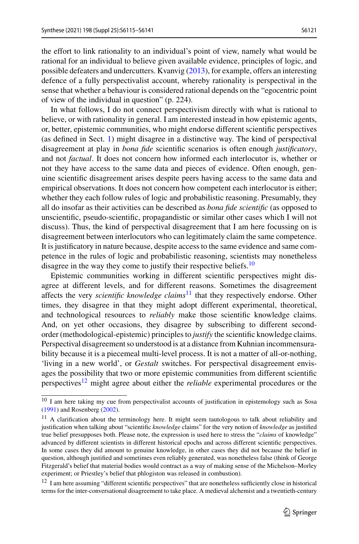the effort to link rationality to an individual's point of view, namely what would be rational for an individual to believe given available evidence, principles of logic, and possible defeaters and undercutters. Kvanvig [\(2013\)](#page-25-20), for example, offers an interesting defence of a fully perspectivalist account, whereby rationality is perspectival in the sense that whether a behaviour is considered rational depends on the "egocentric point of view of the individual in question" (p. 224).

In what follows, I do not connect perspectivism directly with what is rational to believe, or with rationality in general. I am interested instead in how epistemic agents, or, better, epistemic communities, who might endorse different scientific perspectives (as defined in Sect. [1\)](#page-0-0) might disagree in a distinctive way. The kind of perspectival disagreement at play in *bona fide* scientific scenarios is often enough *justificatory*, and not *factual*. It does not concern how informed each interlocutor is, whether or not they have access to the same data and pieces of evidence. Often enough, genuine scientific disagreement arises despite peers having access to the same data and empirical observations. It does not concern how competent each interlocutor is either; whether they each follow rules of logic and probabilistic reasoning. Presumably, they all do insofar as their activities can be described as *bona fide scientific* (as opposed to unscientific, pseudo-scientific, propagandistic or similar other cases which I will not discuss). Thus, the kind of perspectival disagreement that I am here focussing on is disagreement between interlocutors who can legitimately claim the same competence. It is justificatory in nature because, despite access to the same evidence and same competence in the rules of logic and probabilistic reasoning, scientists may nonetheless disagree in the way they come to justify their respective beliefs.<sup>[10](#page-6-0)</sup>

Epistemic communities working in different scientific perspectives might disagree at different levels, and for different reasons. Sometimes the disagreement affects the very *scientific knowledge claims*[11](#page-6-1) that they respectively endorse. Other times, they disagree in that they might adopt different experimental, theoretical, and technological resources to *reliably* make those scientific knowledge claims. And, on yet other occasions, they disagree by subscribing to different secondorder (methodological-epistemic) principles to *justify* the scientific knowledge claims. Perspectival disagreement so understood is at a distance from Kuhnian incommensurability because it is a piecemeal multi-level process. It is not a matter of all-or-nothing, 'living in a new world', or *Gestalt* switches. For perspectival disagreement envisages the possibility that two or more epistemic communities from different scientific perspectives[12](#page-6-2) might agree about either the *reliable* experimental procedures or the

<span id="page-6-1"></span><span id="page-6-0"></span><sup>&</sup>lt;sup>10</sup> I am here taking my cue from perspectivalist accounts of justification in epistemology such as Sosa [\(1991\)](#page-26-7) and Rosenberg [\(2002\)](#page-26-8).

 $11$  A clarification about the terminology here. It might seem tautologous to talk about reliability and justification when talking about "scientific *knowledge* claims" for the very notion of *knowledge* as justified true belief presupposes both. Please note, the expression is used here to stress the "*claims* of knowledge" advanced by different scientists in different historical epochs and across different scientific perspectives. In some cases they did amount to genuine knowledge, in other cases they did not because the belief in question, although justified and sometimes even reliably generated, was nonetheless false (think of George Fitzgerald's belief that material bodies would contract as a way of making sense of the Michelson–Morley experiment; or Priestley's belief that phlogiston was released in combustion).

<span id="page-6-2"></span><sup>&</sup>lt;sup>12</sup> I am here assuming "different scientific perspectives" that are nonetheless sufficiently close in historical terms for the inter-conversational disagreement to take place. A medieval alchemist and a twentieth-century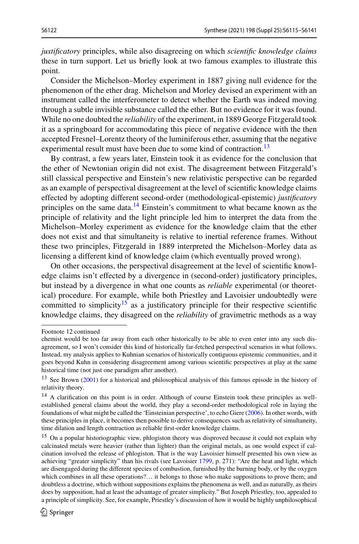*justificatory* principles, while also disagreeing on which *scientific knowledge claims* these in turn support. Let us briefly look at two famous examples to illustrate this point.

Consider the Michelson–Morley experiment in 1887 giving null evidence for the phenomenon of the ether drag. Michelson and Morley devised an experiment with an instrument called the interferometer to detect whether the Earth was indeed moving through a subtle invisible substance called the ether. But no evidence for it was found. While no one doubted the *reliability* of the experiment, in 1889 George Fitzgerald took it as a springboard for accommodating this piece of negative evidence with the then accepted Fresnel–Lorentz theory of the luminiferous ether, assuming that the negative experimental result must have been due to some kind of contraction.<sup>[13](#page-7-0)</sup>

By contrast, a few years later, Einstein took it as evidence for the conclusion that the ether of Newtonian origin did not exist. The disagreement between Fitzgerald's still classical perspective and Einstein's new relativistic perspective can be regarded as an example of perspectival disagreement at the level of scientific knowledge claims effected by adopting different second-order (methodological-epistemic) *justificatory* principles on the same data.<sup>[14](#page-7-1)</sup> Einstein's commitment to what became known as the principle of relativity and the light principle led him to interpret the data from the Michelson–Morley experiment as evidence for the knowledge claim that the ether does not exist and that simultaneity is relative to inertial reference frames. Without these two principles, Fitzgerald in 1889 interpreted the Michelson–Morley data as licensing a different kind of knowledge claim (which eventually proved wrong).

On other occasions, the perspectival disagreement at the level of scientific knowledge claims isn't effected by a divergence in (second-order) justificatory principles, but instead by a divergence in what one counts as *reliable* experimental (or theoretical) procedure. For example, while both Priestley and Lavoisier undoubtedly were committed to simplicity<sup>15</sup> as a justificatory principle for their respective scientific knowledge claims, they disagreed on the *reliability* of gravimetric methods as a way

Footnote 12 continued

chemist would be too far away from each other historically to be able to even enter into any such disagreement, so I won't consider this kind of historically far-fetched perspectival scenarios in what follows. Instead, my analysis applies to Kuhnian scenarios of historically contiguous epistemic communities, and it goes beyond Kuhn in considering disagreement among various scientific perspectives at play at the same historical time (not just one paradigm after another).

<span id="page-7-1"></span><span id="page-7-0"></span><sup>&</sup>lt;sup>13</sup> See Brown [\(2001\)](#page-25-21) for a historical and philosophical analysis of this famous episode in the history of relativity theory.

<sup>&</sup>lt;sup>14</sup> A clarification on this point is in order. Although of course Einstein took these principles as wellestablished general claims about the world, they play a second-order methodological role in laying the foundations of what might be called the 'Einsteinian perspective', to echo Giere [\(2006\)](#page-25-12). In other words, with these principles in place, it becomes then possible to derive consequences such as relativity of simultaneity, time dilation and length contraction as reliable first-order knowledge claims.

<span id="page-7-2"></span><sup>&</sup>lt;sup>15</sup> On a popular historiographic view, phlogiston theory was disproved because it could not explain why calcinated metals were heavier (rather than lighter) than the original metals, as one would expect if calcination involved the release of phlogiston. That is the way Lavoisier himself presented his own view as achieving "greater simplicity" than his rivals (see Lavoisier [1799,](#page-25-22) p. 271): "Are the heat and light, which are disengaged during the different species of combustion, furnished by the burning body, or by the oxygen which combines in all these operations?… it belongs to those who make suppositions to prove them; and doubtless a doctrine, which without suppositions explains the phenomena as well, and as naturally, as theirs does by supposition, had at least the advantage of greater simplicity." But Joseph Priestley, too, appealed to a principle of simplicity. See, for example, Priestley's discussion of how it would be highly unphilosophical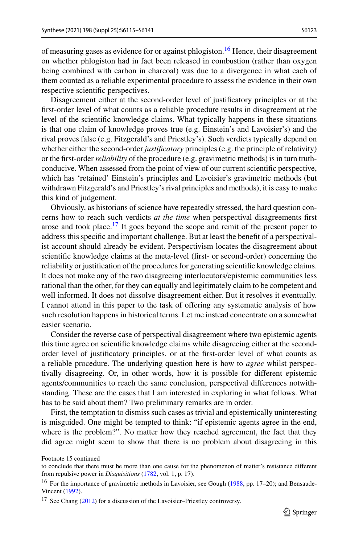of measuring gases as evidence for or against phlogiston.<sup>[16](#page-8-0)</sup> Hence, their disagreement on whether phlogiston had in fact been released in combustion (rather than oxygen being combined with carbon in charcoal) was due to a divergence in what each of them counted as a reliable experimental procedure to assess the evidence in their own respective scientific perspectives.

Disagreement either at the second-order level of justificatory principles or at the first-order level of what counts as a reliable procedure results in disagreement at the level of the scientific knowledge claims. What typically happens in these situations is that one claim of knowledge proves true (e.g. Einstein's and Lavoisier's) and the rival proves false (e.g. Fitzgerald's and Priestley's). Such verdicts typically depend on whether either the second-order *justificatory* principles (e.g. the principle of relativity) or the first-order*reliability* of the procedure (e.g. gravimetric methods) is in turn truthconducive. When assessed from the point of view of our current scientific perspective, which has 'retained' Einstein's principles and Lavoisier's gravimetric methods (but withdrawn Fitzgerald's and Priestley's rival principles and methods), it is easy to make this kind of judgement.

Obviously, as historians of science have repeatedly stressed, the hard question concerns how to reach such verdicts *at the time* when perspectival disagreements first arose and took place.<sup>17</sup> It goes beyond the scope and remit of the present paper to address this specific and important challenge. But at least the benefit of a perspectivalist account should already be evident. Perspectivism locates the disagreement about scientific knowledge claims at the meta-level (first- or second-order) concerning the reliability or justification of the procedures for generating scientific knowledge claims. It does not make any of the two disagreeing interlocutors/epistemic communities less rational than the other, for they can equally and legitimately claim to be competent and well informed. It does not dissolve disagreement either. But it resolves it eventually. I cannot attend in this paper to the task of offering any systematic analysis of how such resolution happens in historical terms. Let me instead concentrate on a somewhat easier scenario.

Consider the reverse case of perspectival disagreement where two epistemic agents this time agree on scientific knowledge claims while disagreeing either at the secondorder level of justificatory principles, or at the first-order level of what counts as a reliable procedure. The underlying question here is how to *agree* whilst perspectivally disagreeing. Or, in other words, how it is possible for different epistemic agents/communities to reach the same conclusion, perspectival differences notwithstanding. These are the cases that I am interested in exploring in what follows. What has to be said about them? Two preliminary remarks are in order.

First, the temptation to dismiss such cases as trivial and epistemically uninteresting is misguided. One might be tempted to think: "if epistemic agents agree in the end, where is the problem?". No matter how they reached agreement, the fact that they did agree might seem to show that there is no problem about disagreeing in this

Footnote 15 continued

<span id="page-8-0"></span>to conclude that there must be more than one cause for the phenomenon of matter's resistance different from repulsive power in *Disquisitions* [\(1782,](#page-26-9) vol. 1, p. 17).

<span id="page-8-1"></span><sup>&</sup>lt;sup>16</sup> For the importance of gravimetric methods in Lavoisier, see Gough [\(1988,](#page-25-23) pp. 17–20); and Bensaude-Vincent [\(1992\)](#page-25-24).

 $17$  See Chang [\(2012\)](#page-25-2) for a discussion of the Lavoisier–Priestley controversy.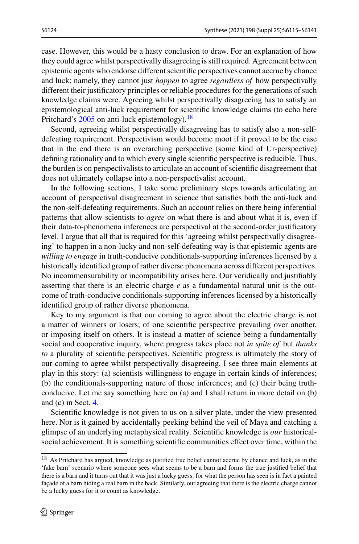case. However, this would be a hasty conclusion to draw. For an explanation of how they could agree whilst perspectivally disagreeing is still required. Agreement between epistemic agents who endorse different scientific perspectives cannot accrue by chance and luck: namely, they cannot just *happen* to agree *regardless of* how perspectivally different their justificatory principles or reliable procedures for the generations of such knowledge claims were. Agreeing whilst perspectivally disagreeing has to satisfy an epistemological anti-luck requirement for scientific knowledge claims (to echo here Pritchard's [2005](#page-26-10) on anti-luck epistemology).<sup>18</sup>

Second, agreeing whilst perspectivally disagreeing has to satisfy also a non-selfdefeating requirement. Perspectivism would become moot if it proved to be the case that in the end there is an overarching perspective (some kind of Ur-perspective) defining rationality and to which every single scientific perspective is reducible. Thus, the burden is on perspectivalists to articulate an account of scientific disagreement that does not ultimately collapse into a non-perspectivalist account.

In the following sections, I take some preliminary steps towards articulating an account of perspectival disagreement in science that satisfies both the anti-luck and the non-self-defeating requirements. Such an account relies on there being inferential patterns that allow scientists to *agree* on what there is and about what it is, even if their data-to-phenomena inferences are perspectival at the second-order justificatory level. I argue that all that is required for this 'agreeing whilst perspectivally disagreeing' to happen in a non-lucky and non-self-defeating way is that epistemic agents are *willing to engage* in truth-conducive conditionals-supporting inferences licensed by a historically identified group of rather diverse phenomena across different perspectives. No incommensurability or incompatibility arises here. Our veridically and justifiably asserting that there is an electric charge *e* as a fundamental natural unit is the outcome of truth-conducive conditionals-supporting inferences licensed by a historically identified group of rather diverse phenomena.

Key to my argument is that our coming to agree about the electric charge is not a matter of winners or losers; of one scientific perspective prevailing over another, or imposing itself on others. It is instead a matter of science being a fundamentally social and cooperative inquiry, where progress takes place not *in spite of* but *thanks to* a plurality of scientific perspectives. Scientific progress is ultimately the story of our coming to agree whilst perspectivally disagreeing. I see three main elements at play in this story: (a) scientists willingness to engage in certain kinds of inferences; (b) the conditionals-supporting nature of those inferences; and (c) their being truthconducive. Let me say something here on (a) and I shall return in more detail on (b) and (c) in Sect. [4.](#page-20-0)

Scientific knowledge is not given to us on a silver plate, under the view presented here. Nor is it gained by accidentally peeking behind the veil of Maya and catching a glimpse of an underlying metaphysical reality. Scientific knowledge is *our* historicalsocial achievement. It is something scientific communities effect over time, within the

<span id="page-9-0"></span><sup>&</sup>lt;sup>18</sup> As Pritchard has argued, knowledge as justified true belief cannot accrue by chance and luck, as in the 'fake barn' scenario where someone sees what seems to be a barn and forms the true justified belief that there is a barn and it turns out that it was just a lucky guess: for what the person has seen is in fact a painted façade of a barn hiding a real barn in the back. Similarly, our agreeing that there is the electric charge cannot be a lucky guess for it to count as knowledge.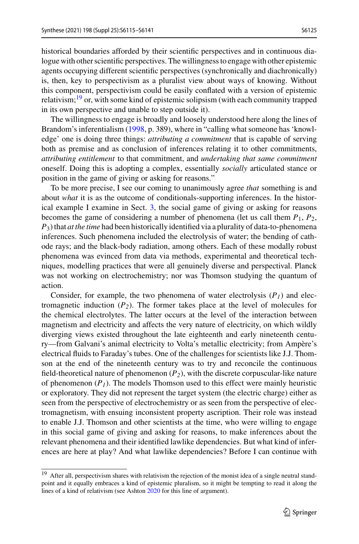historical boundaries afforded by their scientific perspectives and in continuous dialogue with other scientific perspectives. The willingness to engage with other epistemic agents occupying different scientific perspectives (synchronically and diachronically) is, then, key to perspectivism as a pluralist view about ways of knowing. Without this component, perspectivism could be easily conflated with a version of epistemic relativism; $19$  or, with some kind of epistemic solipsism (with each community trapped in its own perspective and unable to step outside it).

The willingness to engage is broadly and loosely understood here along the lines of Brandom's inferentialism [\(1998,](#page-25-25) p. 389), where in "calling what someone has 'knowledge' one is doing three things: *attributing a commitment* that is capable of serving both as premise and as conclusion of inferences relating it to other commitments, *attributing entitlement* to that commitment, and *undertaking that same commitment* oneself. Doing this is adopting a complex, essentially *socially* articulated stance or position in the game of giving or asking for reasons."

To be more precise, I see our coming to unanimously agree *that* something is and about *what* it is as the outcome of conditionals-supporting inferences. In the historical example I examine in Sect. [3,](#page-11-0) the social game of giving or asking for reasons becomes the game of considering a number of phenomena (let us call them  $P_1$ ,  $P_2$ , *P*3) that *at the time* had been historically identified via a plurality of data-to-phenomena inferences. Such phenomena included the electrolysis of water; the bending of cathode rays; and the black-body radiation, among others. Each of these modally robust phenomena was evinced from data via methods, experimental and theoretical techniques, modelling practices that were all genuinely diverse and perspectival. Planck was not working on electrochemistry; nor was Thomson studying the quantum of action.

Consider, for example, the two phenomena of water electrolysis  $(P<sub>I</sub>)$  and electromagnetic induction  $(P_2)$ . The former takes place at the level of molecules for the chemical electrolytes. The latter occurs at the level of the interaction between magnetism and electricity and affects the very nature of electricity, on which wildly diverging views existed throughout the late eighteenth and early nineteenth century—from Galvani's animal electricity to Volta's metallic electricity; from Ampère's electrical fluids to Faraday's tubes. One of the challenges for scientists like J.J. Thomson at the end of the nineteenth century was to try and reconcile the continuous field-theoretical nature of phenomenon  $(P_2)$ , with the discrete corpuscular-like nature of phenomenon  $(P_1)$ . The models Thomson used to this effect were mainly heuristic or exploratory. They did not represent the target system (the electric charge) either as seen from the perspective of electrochemistry or as seen from the perspective of electromagnetism, with ensuing inconsistent property ascription. Their role was instead to enable J.J. Thomson and other scientists at the time, who were willing to engage in this social game of giving and asking for reasons, to make inferences about the relevant phenomena and their identified lawlike dependencies. But what kind of inferences are here at play? And what lawlike dependencies? Before I can continue with

<span id="page-10-0"></span><sup>&</sup>lt;sup>19</sup> After all, perspectivism shares with relativism the rejection of the monist idea of a single neutral standpoint and it equally embraces a kind of epistemic pluralism, so it might be tempting to read it along the lines of a kind of relativism (see Ashton [2020](#page-25-26) for this line of argument).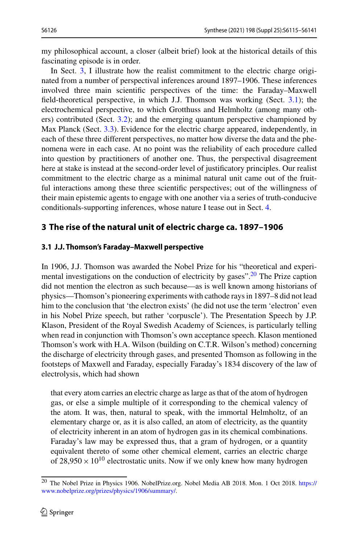my philosophical account, a closer (albeit brief) look at the historical details of this fascinating episode is in order.

In Sect. [3,](#page-11-0) I illustrate how the realist commitment to the electric charge originated from a number of perspectival inferences around 1897–1906. These inferences involved three main scientific perspectives of the time: the Faraday–Maxwell field-theoretical perspective, in which J.J. Thomson was working (Sect. [3.1\)](#page-11-1); the electrochemical perspective, to which Grotthuss and Helmholtz (among many others) contributed (Sect. [3.2\)](#page-15-0); and the emerging quantum perspective championed by Max Planck (Sect. [3.3\)](#page-17-0). Evidence for the electric charge appeared, independently, in each of these three different perspectives, no matter how diverse the data and the phenomena were in each case. At no point was the reliability of each procedure called into question by practitioners of another one. Thus, the perspectival disagreement here at stake is instead at the second-order level of justificatory principles. Our realist commitment to the electric charge as a minimal natural unit came out of the fruitful interactions among these three scientific perspectives; out of the willingness of their main epistemic agents to engage with one another via a series of truth-conducive conditionals-supporting inferences, whose nature I tease out in Sect. [4.](#page-20-0)

## <span id="page-11-0"></span>**3 The rise of the natural unit of electric charge ca. 1897–1906**

### <span id="page-11-1"></span>**3.1 J.J. Thomson's Faraday–Maxwell perspective**

In 1906, J.J. Thomson was awarded the Nobel Prize for his "theoretical and experimental investigations on the conduction of electricity by gases".  $20$  The Prize caption did not mention the electron as such because—as is well known among historians of physics—Thomson's pioneering experiments with cathode rays in 1897–8 did not lead him to the conclusion that 'the electron exists' (he did not use the term 'electron' even in his Nobel Prize speech, but rather 'corpuscle'). The Presentation Speech by J.P. Klason, President of the Royal Swedish Academy of Sciences, is particularly telling when read in conjunction with Thomson's own acceptance speech. Klason mentioned Thomson's work with H.A. Wilson (building on C.T.R. Wilson's method) concerning the discharge of electricity through gases, and presented Thomson as following in the footsteps of Maxwell and Faraday, especially Faraday's 1834 discovery of the law of electrolysis, which had shown

that every atom carries an electric charge as large as that of the atom of hydrogen gas, or else a simple multiple of it corresponding to the chemical valency of the atom. It was, then, natural to speak, with the immortal Helmholtz, of an elementary charge or, as it is also called, an atom of electricity, as the quantity of electricity inherent in an atom of hydrogen gas in its chemical combinations. Faraday's law may be expressed thus, that a gram of hydrogen, or a quantity equivalent thereto of some other chemical element, carries an electric charge of  $28,950 \times 10^{10}$  electrostatic units. Now if we only knew how many hydrogen

<span id="page-11-2"></span><sup>20</sup> [The Nobel Prize in Physics 1906. NobelPrize.org. Nobel Media AB 2018. Mon. 1 Oct 2018.](https://www.nobelprize.org/prizes/physics/1906/summary/) https:// www.nobelprize.org/prizes/physics/1906/summary/.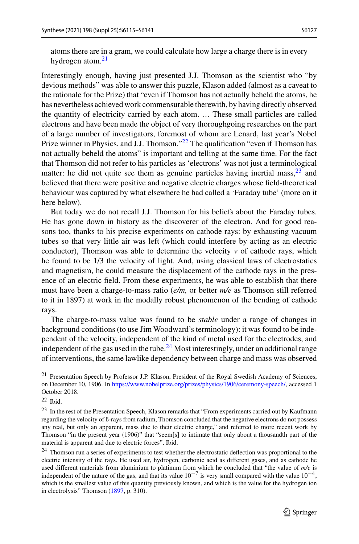atoms there are in a gram, we could calculate how large a charge there is in every hydrogen atom. $21$ 

Interestingly enough, having just presented J.J. Thomson as the scientist who "by devious methods" was able to answer this puzzle, Klason added (almost as a caveat to the rationale for the Prize) that "even if Thomson has not actually beheld the atoms, he has nevertheless achieved work commensurable therewith, by having directly observed the quantity of electricity carried by each atom. … These small particles are called electrons and have been made the object of very thoroughgoing researches on the part of a large number of investigators, foremost of whom are Lenard, last year's Nobel Prize winner in Physics, and J.J. Thomson."<sup>22</sup> The qualification "even if Thomson has not actually beheld the atoms" is important and telling at the same time. For the fact that Thomson did not refer to his particles as 'electrons' was not just a terminological matter: he did not quite see them as genuine particles having inertial mass,  $2<sup>3</sup>$  and believed that there were positive and negative electric charges whose field-theoretical behaviour was captured by what elsewhere he had called a 'Faraday tube' (more on it here below).

But today we do not recall J.J. Thomson for his beliefs about the Faraday tubes. He has gone down in history as the discoverer of the electron. And for good reasons too, thanks to his precise experiments on cathode rays: by exhausting vacuum tubes so that very little air was left (which could interfere by acting as an electric conductor), Thomson was able to determine the velocity  $v$  of cathode rays, which he found to be 1/3 the velocity of light. And, using classical laws of electrostatics and magnetism, he could measure the displacement of the cathode rays in the presence of an electric field. From these experiments, he was able to establish that there must have been a charge-to-mass ratio (*e/m,* or better *m/e* as Thomson still referred to it in 1897) at work in the modally robust phenomenon of the bending of cathode rays.

The charge-to-mass value was found to be *stable* under a range of changes in background conditions (to use Jim Woodward's terminology): it was found to be independent of the velocity, independent of the kind of metal used for the electrodes, and independent of the gas used in the tube.<sup>[24](#page-12-3)</sup> Most interestingly, under an additional range of interventions, the same lawlike dependency between charge and mass was observed

<span id="page-12-0"></span><sup>21</sup> Presentation Speech by Professor J.P. Klason, President of the Royal Swedish Academy of Sciences, on December 10, 1906. In [https://www.nobelprize.org/prizes/physics/1906/ceremony-speech/,](https://www.nobelprize.org/prizes/physics/1906/ceremony-speech/) accessed 1 October 2018.

<span id="page-12-2"></span><span id="page-12-1"></span> $22$  Ibid.

<sup>23</sup> In the rest of the Presentation Speech, Klason remarks that "From experiments carried out by Kaufmann regarding the velocity of ß-rays from radium, Thomson concluded that the negative electrons do not possess any real, but only an apparent, mass due to their electric charge," and referred to more recent work by Thomson "in the present year (1906)" that "seem[s] to intimate that only about a thousandth part of the material is apparent and due to electric forces". Ibid.

<span id="page-12-3"></span><sup>&</sup>lt;sup>24</sup> Thomson run a series of experiments to test whether the electrostatic deflection was proportional to the electric intensity of the rays. He used air, hydrogen, carbonic acid as different gases, and as cathode he used different materials from aluminium to platinum from which he concluded that "the value of *m/e* is independent of the nature of the gas, and that its value  $10^{-7}$  is very small compared with the value  $10^{-4}$ , which is the smallest value of this quantity previously known, and which is the value for the hydrogen ion in electrolysis" Thomson [\(1897,](#page-26-6) p. 310).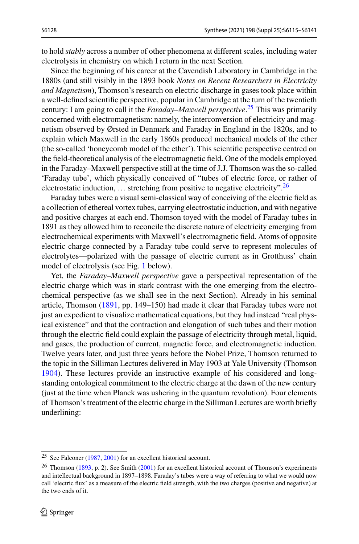to hold *stably* across a number of other phenomena at different scales, including water electrolysis in chemistry on which I return in the next Section.

Since the beginning of his career at the Cavendish Laboratory in Cambridge in the 1880s (and still visibly in the 1893 book *Notes on Recent Researchers in Electricity and Magnetism*), Thomson's research on electric discharge in gases took place within a well-defined scientific perspective, popular in Cambridge at the turn of the twentieth century: I am going to call it the *Faraday*–*Maxwell perspective*. [25](#page-13-0) This was primarily concerned with electromagnetism: namely, the interconversion of electricity and magnetism observed by Ørsted in Denmark and Faraday in England in the 1820s, and to explain which Maxwell in the early 1860s produced mechanical models of the ether (the so-called 'honeycomb model of the ether'). This scientific perspective centred on the field-theoretical analysis of the electromagnetic field. One of the models employed in the Faraday–Maxwell perspective still at the time of J.J. Thomson was the so-called 'Faraday tube', which physically conceived of "tubes of electric force, or rather of electrostatic induction,  $\dots$  stretching from positive to negative electricity".<sup>[26](#page-13-1)</sup>

Faraday tubes were a visual semi-classical way of conceiving of the electric field as a collection of ethereal vortex tubes, carrying electrostatic induction, and with negative and positive charges at each end. Thomson toyed with the model of Faraday tubes in 1891 as they allowed him to reconcile the discrete nature of electricity emerging from electrochemical experiments with Maxwell's electromagnetic field. Atoms of opposite electric charge connected by a Faraday tube could serve to represent molecules of electrolytes—polarized with the passage of electric current as in Grotthuss' chain model of electrolysis (see Fig. [1](#page-14-0) below).

Yet, the *Faraday*–*Maxwell perspective* gave a perspectival representation of the electric charge which was in stark contrast with the one emerging from the electrochemical perspective (as we shall see in the next Section). Already in his seminal article, Thomson [\(1891,](#page-26-11) pp. 149–150) had made it clear that Faraday tubes were not just an expedient to visualize mathematical equations, but they had instead "real physical existence" and that the contraction and elongation of such tubes and their motion through the electric field could explain the passage of electricity through metal, liquid, and gases, the production of current, magnetic force, and electromagnetic induction. Twelve years later, and just three years before the Nobel Prize, Thomson returned to the topic in the Silliman Lectures delivered in May 1903 at Yale University (Thomson [1904\)](#page-26-12). These lectures provide an instructive example of his considered and longstanding ontological commitment to the electric charge at the dawn of the new century (just at the time when Planck was ushering in the quantum revolution). Four elements of Thomson's treatment of the electric charge in the Silliman Lectures are worth briefly underlining:

<span id="page-13-1"></span><span id="page-13-0"></span><sup>25</sup> See Falconer [\(1987,](#page-25-27) [2001\)](#page-25-5) for an excellent historical account.

<sup>&</sup>lt;sup>26</sup> Thomson [\(1893,](#page-26-13) p. 2). See Smith [\(2001\)](#page-26-14) for an excellent historical account of Thomson's experiments and intellectual background in 1897–1898. Faraday's tubes were a way of referring to what we would now call 'electric flux' as a measure of the electric field strength, with the two charges (positive and negative) at the two ends of it.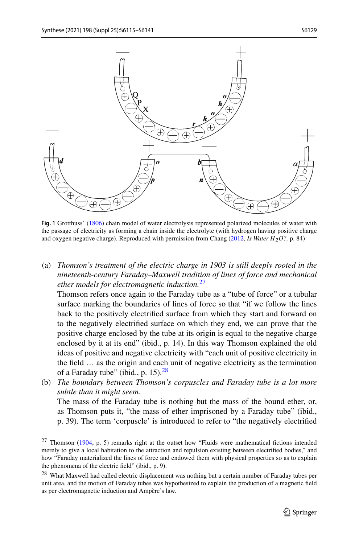

<span id="page-14-0"></span>**Fig. 1** Grotthuss' [\(1806\)](#page-25-28) chain model of water electrolysis represented polarized molecules of water with the passage of electricity as forming a chain inside the electrolyte (with hydrogen having positive charge and oxygen negative charge). Reproduced with permission from Chang [\(2012,](#page-25-2) *Is Water H2O?,* p. 84)

(a) *Thomson's treatment of the electric charge in 1903 is still deeply rooted in the nineteenth*-*century Faraday*–*Maxwell tradition of lines of force and mechanical ether models for electromagnetic induction.*[27](#page-14-1)

Thomson refers once again to the Faraday tube as a "tube of force" or a tubular surface marking the boundaries of lines of force so that "if we follow the lines back to the positively electrified surface from which they start and forward on to the negatively electrified surface on which they end, we can prove that the positive charge enclosed by the tube at its origin is equal to the negative charge enclosed by it at its end" (ibid., p. 14). In this way Thomson explained the old ideas of positive and negative electricity with "each unit of positive electricity in the field … as the origin and each unit of negative electricity as the termination of a Faraday tube" (ibid., p. 15). $28$ 

(b) *The boundary between Thomson's corpuscles and Faraday tube is a lot more subtle than it might seem.*

The mass of the Faraday tube is nothing but the mass of the bound ether, or, as Thomson puts it, "the mass of ether imprisoned by a Faraday tube" (ibid., p. 39). The term 'corpuscle' is introduced to refer to "the negatively electrified

<span id="page-14-1"></span><sup>27</sup> Thomson [\(1904,](#page-26-12) p. 5) remarks right at the outset how "Fluids were mathematical fictions intended merely to give a local habitation to the attraction and repulsion existing between electrified bodies," and how "Faraday materialized the lines of force and endowed them with physical properties so as to explain the phenomena of the electric field" (ibid., p. 9).

<span id="page-14-2"></span><sup>28</sup> What Maxwell had called electric displacement was nothing but a certain number of Faraday tubes per unit area, and the motion of Faraday tubes was hypothesized to explain the production of a magnetic field as per electromagnetic induction and Ampère's law.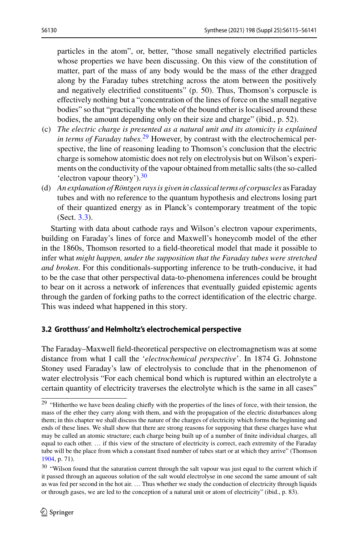particles in the atom", or, better, "those small negatively electrified particles whose properties we have been discussing. On this view of the constitution of matter, part of the mass of any body would be the mass of the ether dragged along by the Faraday tubes stretching across the atom between the positively and negatively electrified constituents" (p. 50). Thus, Thomson's corpuscle is effectively nothing but a "concentration of the lines of force on the small negative bodies" so that "practically the whole of the bound ether is localised around these bodies, the amount depending only on their size and charge" (ibid., p. 52).

- (c) *The electric charge is presented as a natural unit and its atomicity is explained in terms of Faraday tubes.*[29](#page-15-1) However, by contrast with the electrochemical perspective, the line of reasoning leading to Thomson's conclusion that the electric charge is somehow atomistic does not rely on electrolysis but on Wilson's experiments on the conductivity of the vapour obtained from metallic salts (the so-called 'electron vapour theory')[.30](#page-15-2)
- (d) *An explanation of Röntgen rays is given in classical terms of corpuscles* as Faraday tubes and with no reference to the quantum hypothesis and electrons losing part of their quantized energy as in Planck's contemporary treatment of the topic (Sect. [3.3\)](#page-17-0).

Starting with data about cathode rays and Wilson's electron vapour experiments, building on Faraday's lines of force and Maxwell's honeycomb model of the ether in the 1860s, Thomson resorted to a field-theoretical model that made it possible to infer what *might happen, under the supposition that the Faraday tubes were stretched and broken*. For this conditionals-supporting inference to be truth-conducive, it had to be the case that other perspectival data-to-phenomena inferences could be brought to bear on it across a network of inferences that eventually guided epistemic agents through the garden of forking paths to the correct identification of the electric charge. This was indeed what happened in this story.

### <span id="page-15-0"></span>**3.2 Grotthuss' and Helmholtz's electrochemical perspective**

The Faraday–Maxwell field-theoretical perspective on electromagnetism was at some distance from what I call the '*electrochemical perspective*'. In 1874 G. Johnstone Stoney used Faraday's law of electrolysis to conclude that in the phenomenon of water electrolysis "For each chemical bond which is ruptured within an electrolyte a certain quantity of electricity traverses the electrolyte which is the same in all cases"

<span id="page-15-1"></span><sup>&</sup>lt;sup>29</sup> "Hithertho we have been dealing chiefly with the properties of the lines of force, with their tension, the mass of the ether they carry along with them, and with the propagation of the electric disturbances along them; in this chapter we shall discuss the nature of the charges of electricity which forms the beginning and ends of these lines. We shall show that there are strong reasons for supposing that these charges have what may be called an atomic structure; each charge being built up of a number of finite individual charges, all equal to each other. … if this view of the structure of electricity is correct, each extremity of the Faraday tube will be the place from which a constant fixed number of tubes start or at which they arrive" (Thomson [1904,](#page-26-12) p. 71).

<span id="page-15-2"></span><sup>&</sup>lt;sup>30</sup> "Wilson found that the saturation current through the salt vapour was just equal to the current which if it passed through an aqueous solution of the salt would electrolyse in one second the same amount of salt as was fed per second in the hot air. … Thus whether we study the conduction of electricity through liquids or through gases, we are led to the conception of a natural unit or atom of electricity" (ibid., p. 83).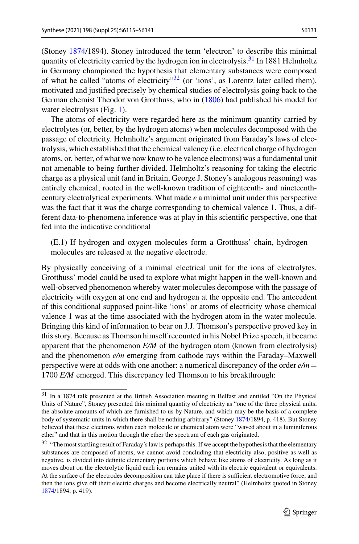(Stoney [1874/](#page-26-15)1894). Stoney introduced the term 'electron' to describe this minimal quantity of electricity carried by the hydrogen ion in electrolysis.<sup>[31](#page-16-0)</sup> In 1881 Helmholtz in Germany championed the hypothesis that elementary substances were composed of what he called "atoms of electricity" $32$  (or 'ions', as Lorentz later called them), motivated and justified precisely by chemical studies of electrolysis going back to the German chemist Theodor von Grotthuss, who in [\(1806\)](#page-25-28) had published his model for water electrolysis (Fig. [1\)](#page-14-0).

The atoms of electricity were regarded here as the minimum quantity carried by electrolytes (or, better, by the hydrogen atoms) when molecules decomposed with the passage of electricity. Helmholtz's argument originated from Faraday's laws of electrolysis, which established that the chemical valency (i.e. electrical charge of hydrogen atoms, or, better, of what we now know to be valence electrons) was a fundamental unit not amenable to being further divided. Helmholtz's reasoning for taking the electric charge as a physical unit (and in Britain, George J. Stoney's analogous reasoning) was entirely chemical, rooted in the well-known tradition of eighteenth- and nineteenthcentury electrolytical experiments. What made *e* a minimal unit under this perspective was the fact that it was the charge corresponding to chemical valence 1. Thus, a different data-to-phenomena inference was at play in this scientific perspective, one that fed into the indicative conditional

(E.1) If hydrogen and oxygen molecules form a Grotthuss' chain, hydrogen molecules are released at the negative electrode.

By physically conceiving of a minimal electrical unit for the ions of electrolytes, Grotthuss' model could be used to explore what might happen in the well-known and well-observed phenomenon whereby water molecules decompose with the passage of electricity with oxygen at one end and hydrogen at the opposite end. The antecedent of this conditional supposed point-like 'ions' or atoms of electricity whose chemical valence 1 was at the time associated with the hydrogen atom in the water molecule. Bringing this kind of information to bear on J.J. Thomson's perspective proved key in this story. Because as Thomson himself recounted in his Nobel Prize speech, it became apparent that the phenomenon *E/M* of the hydrogen atom (known from electrolysis) and the phenomenon *e/m* emerging from cathode rays within the Faraday–Maxwell perspective were at odds with one another: a numerical discrepancy of the order *e/m*- 1700 *E/M* emerged. This discrepancy led Thomson to his breakthrough:

<span id="page-16-0"></span><sup>31</sup> In a 1874 talk presented at the British Association meeting in Belfast and entitled "On the Physical Units of Nature", Stoney presented this minimal quantity of electricity as "one of the three physical units, the absolute amounts of which are furnished to us by Nature, and which may be the basis of a complete body of systematic units in which there shall be nothing arbitrary" (Stoney [1874/](#page-26-15)1894, p. 418). But Stoney believed that these electrons within each molecule or chemical atom were "waved about in a luminiferous ether" and that in this motion through the ether the spectrum of each gas originated.

<span id="page-16-1"></span><sup>&</sup>lt;sup>32</sup> "The most startling result of Faraday's law is perhaps this. If we accept the hypothesis that the elementary substances are composed of atoms, we cannot avoid concluding that electricity also, positive as well as negative, is divided into definite elementary portions which behave like atoms of electricity. As long as it moves about on the electrolytic liquid each ion remains united with its electric equivalent or equivalents. At the surface of the electrodes decomposition can take place if there is sufficient electromotive force, and then the ions give off their electric charges and become electrically neutral" (Helmholtz quoted in Stoney [1874/](#page-26-15)1894, p. 419).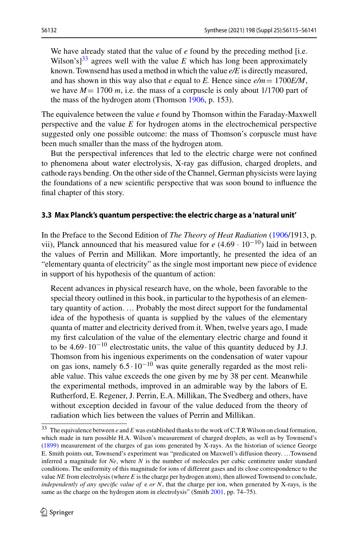We have already stated that the value of *e* found by the preceding method [i.e. Wilson's<sup>[33](#page-17-1)</sup> agrees well with the value  $E$  which has long been approximately known. Townsend has used a method in which the value *e/E* is directly measured, and has shown in this way also that *e* equal to *E*. Hence since  $e/m = 1700E/M$ , we have  $M = 1700$  *m*, i.e. the mass of a corpuscle is only about 1/1700 part of the mass of the hydrogen atom (Thomson [1906,](#page-26-16) p. 153).

The equivalence between the value *e* found by Thomson within the Faraday-Maxwell perspective and the value *E* for hydrogen atoms in the electrochemical perspective suggested only one possible outcome: the mass of Thomson's corpuscle must have been much smaller than the mass of the hydrogen atom.

But the perspectival inferences that led to the electric charge were not confined to phenomena about water electrolysis, X-ray gas diffusion, charged droplets, and cathode rays bending. On the other side of the Channel, German physicists were laying the foundations of a new scientific perspective that was soon bound to influence the final chapter of this story.

#### <span id="page-17-0"></span>**3.3 Max Planck's quantum perspective: the electric charge as a 'natural unit'**

In the Preface to the Second Edition of *The Theory of Heat Radiation* [\(1906/](#page-26-17)1913, p. vii), Planck announced that his measured value for  $e(4.69 \cdot 10^{-10})$  laid in between the values of Perrin and Millikan. More importantly, he presented the idea of an "elementary quanta of electricity" as the single most important new piece of evidence in support of his hypothesis of the quantum of action:

Recent advances in physical research have, on the whole, been favorable to the special theory outlined in this book, in particular to the hypothesis of an elementary quantity of action. … Probably the most direct support for the fundamental idea of the hypothesis of quanta is supplied by the values of the elementary quanta of matter and electricity derived from it. When, twelve years ago, I made my first calculation of the value of the elementary electric charge and found it to be  $4.69 \cdot 10^{-10}$  electrostatic units, the value of this quantity deduced by J.J. Thomson from his ingenious experiments on the condensation of water vapour on gas ions, namely  $6.5 \cdot 10^{-10}$  was quite generally regarded as the most reliable value. This value exceeds the one given by me by 38 per cent. Meanwhile the experimental methods, improved in an admirable way by the labors of E. Rutherford, E. Regener, J. Perrin, E.A. Millikan, The Svedberg and others, have without exception decided in favour of the value deduced from the theory of radiation which lies between the values of Perrin and Millikan.

<span id="page-17-1"></span><sup>33</sup> The equivalence between *e* and *E* was established thanks to the work of C.T.R Wilson on cloud formation, which made in turn possible H.A. Wilson's measurement of charged droplets, as well as by Townsend's [\(1899\)](#page-26-18) measurement of the charges of gas ions generated by X-rays. As the historian of science George E. Smith points out, Townsend's experiment was "predicated on Maxwell's diffusion theory. …Townsend inferred a magnitude for *Ne*, where *N* is the number of molecules per cubic centimetre under standard conditions. The uniformity of this magnitude for ions of different gases and its close correspondence to the value *NE* from electrolysis (where *E* is the charge per hydrogen atom), then allowed Townsend to conclude, *independently of any specific value of* e *or N*, that the charge per ion, when generated by X-rays, is the same as the charge on the hydrogen atom in electrolysis" (Smith [2001,](#page-26-14) pp. 74–75).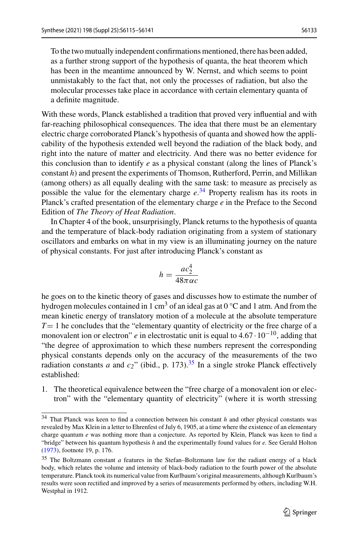To the two mutually independent confirmations mentioned, there has been added, as a further strong support of the hypothesis of quanta, the heat theorem which has been in the meantime announced by W. Nernst, and which seems to point unmistakably to the fact that, not only the processes of radiation, but also the molecular processes take place in accordance with certain elementary quanta of a definite magnitude.

With these words, Planck established a tradition that proved very influential and with far-reaching philosophical consequences. The idea that there must be an elementary electric charge corroborated Planck's hypothesis of quanta and showed how the applicability of the hypothesis extended well beyond the radiation of the black body, and right into the nature of matter and electricity. And there was no better evidence for this conclusion than to identify *e* as a physical constant (along the lines of Planck's constant *h*) and present the experiments of Thomson, Rutherford, Perrin, and Millikan (among others) as all equally dealing with the same task: to measure as precisely as possible the value for the elementary charge *e*. [34](#page-18-0) Property realism has its roots in Planck's crafted presentation of the elementary charge *e* in the Preface to the Second Edition of *The Theory of Heat Radiation*.

In Chapter 4 of the book, unsurprisingly, Planck returns to the hypothesis of quanta and the temperature of black-body radiation originating from a system of stationary oscillators and embarks on what in my view is an illuminating journey on the nature of physical constants. For just after introducing Planck's constant as

$$
h = \frac{ac_2^4}{48\pi\alpha c}
$$

he goes on to the kinetic theory of gases and discusses how to estimate the number of hydrogen molecules contained in 1 cm<sup>3</sup> of an ideal gas at  $0^{\circ}$ C and 1 atm. And from the mean kinetic energy of translatory motion of a molecule at the absolute temperature  $T=1$  he concludes that the "elementary quantity of electricity or the free charge of a monovalent ion or electron" *e* in electrostatic unit is equal to 4.67 · 10−10, adding that "the degree of approximation to which these numbers represent the corresponding physical constants depends only on the accuracy of the measurements of the two radiation constants *a* and  $c_2$ " (ibid., p. 173).<sup>35</sup> In a single stroke Planck effectively established:

1. The theoretical equivalence between the "free charge of a monovalent ion or electron" with the "elementary quantity of electricity" (where it is worth stressing

<span id="page-18-0"></span><sup>34</sup> That Planck was keen to find a connection between his constant *h* and other physical constants was revealed by Max Klein in a letter to Ehrenfest of July 6, 1905, at a time where the existence of an elementary charge quantum *e* was nothing more than a conjecture. As reported by Klein, Planck was keen to find a "bridge" between his quantum hypothesis *h* and the experimentally found values for *e.* See Gerald Holton [\(1973\)](#page-25-29), footnote 19, p. 176.

<span id="page-18-1"></span><sup>35</sup> The Boltzmann constant *a* features in the Stefan–Boltzmann law for the radiant energy of a black body, which relates the volume and intensity of black-body radiation to the fourth power of the absolute temperature. Planck took its numerical value from Kurlbaum's original measurements, although Kurlbaum's results were soon rectified and improved by a series of measurements performed by others, including W.H. Westphal in 1912.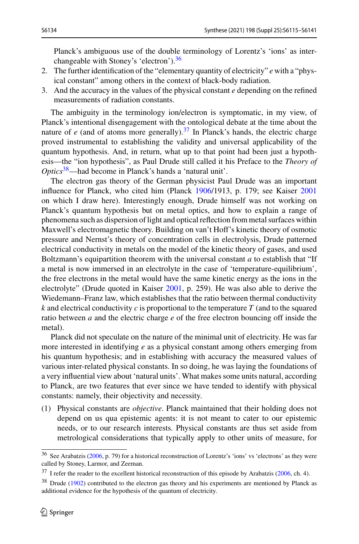Planck's ambiguous use of the double terminology of Lorentz's 'ions' as inter-changeable with Stoney's 'electron').<sup>[36](#page-19-0)</sup>

- 2. The further identification of the "elementary quantity of electricity" *e* with a "physical constant" among others in the context of black-body radiation.
- 3. And the accuracy in the values of the physical constant *e* depending on the refined measurements of radiation constants.

The ambiguity in the terminology ion/electron is symptomatic, in my view, of Planck's intentional disengagement with the ontological debate at the time about the nature of  $e$  (and of atoms more generally).<sup>[37](#page-19-1)</sup> In Planck's hands, the electric charge proved instrumental to establishing the validity and universal applicability of the quantum hypothesis. And, in return, what up to that point had been just a hypothesis—the "ion hypothesis", as Paul Drude still called it his Preface to the *Theory of Optics*[38—](#page-19-2)had become in Planck's hands a 'natural unit'.

The electron gas theory of the German physicist Paul Drude was an important influence for Planck, who cited him (Planck [1906/](#page-26-17)1913, p. 179; see Kaiser [2001](#page-25-30) on which I draw here). Interestingly enough, Drude himself was not working on Planck's quantum hypothesis but on metal optics, and how to explain a range of phenomena such as dispersion of light and optical reflection from metal surfaces within Maxwell's electromagnetic theory. Building on van't Hoff's kinetic theory of osmotic pressure and Nernst's theory of concentration cells in electrolysis, Drude patterned electrical conductivity in metals on the model of the kinetic theory of gases, and used Boltzmann's equipartition theorem with the universal constant *a* to establish that "If a metal is now immersed in an electrolyte in the case of 'temperature-equilibrium', the free electrons in the metal would have the same kinetic energy as the ions in the electrolyte" (Drude quoted in Kaiser [2001,](#page-25-30) p. 259). He was also able to derive the Wiedemann–Franz law, which establishes that the ratio between thermal conductivity *k* and electrical conductivity *c* is proportional to the temperature *T* (and to the squared ratio between *a* and the electric charge *e* of the free electron bouncing off inside the metal).

Planck did not speculate on the nature of the minimal unit of electricity. He was far more interested in identifying *e* as a physical constant among others emerging from his quantum hypothesis; and in establishing with accuracy the measured values of various inter-related physical constants. In so doing, he was laying the foundations of a very influential view about 'natural units'. What makes some units natural, according to Planck, are two features that ever since we have tended to identify with physical constants: namely, their objectivity and necessity.

(1) Physical constants are *objective*. Planck maintained that their holding does not depend on us qua epistemic agents: it is not meant to cater to our epistemic needs, or to our research interests. Physical constants are thus set aside from metrological considerations that typically apply to other units of measure, for

<span id="page-19-1"></span><span id="page-19-0"></span><sup>36</sup> See Arabatzis [\(2006,](#page-25-31) p. 79) for a historical reconstruction of Lorentz's 'ions' vs 'electrons' as they were called by Stoney, Larmor, and Zeeman.

<span id="page-19-2"></span><sup>&</sup>lt;sup>37</sup> I refer the reader to the excellent historical reconstruction of this episode by Arabatzis [\(2006,](#page-25-31) ch. 4).

<sup>&</sup>lt;sup>38</sup> Drude [\(1902\)](#page-25-32) contributed to the electron gas theory and his experiments are mentioned by Planck as additional evidence for the hypothesis of the quantum of electricity.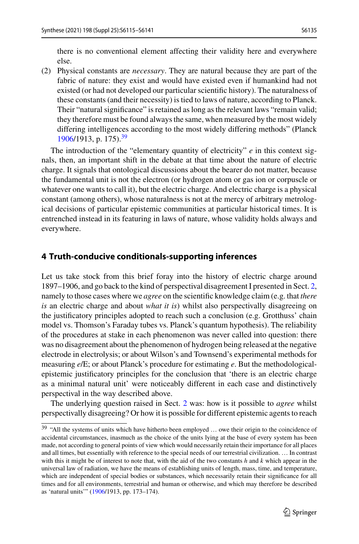there is no conventional element affecting their validity here and everywhere else.

(2) Physical constants are *necessary*. They are natural because they are part of the fabric of nature: they exist and would have existed even if humankind had not existed (or had not developed our particular scientific history). The naturalness of these constants (and their necessity) is tied to laws of nature, according to Planck. Their "natural significance" is retained as long as the relevant laws "remain valid; they therefore must be found always the same, when measured by the most widely differing intelligences according to the most widely differing methods" (Planck  $1906/1913$  $1906/1913$ , p. 175).<sup>[39](#page-20-1)</sup>

The introduction of the "elementary quantity of electricity" *e* in this context signals, then, an important shift in the debate at that time about the nature of electric charge. It signals that ontological discussions about the bearer do not matter, because the fundamental unit is not the electron (or hydrogen atom or gas ion or corpuscle or whatever one wants to call it), but the electric charge. And electric charge is a physical constant (among others), whose naturalness is not at the mercy of arbitrary metrological decisions of particular epistemic communities at particular historical times. It is entrenched instead in its featuring in laws of nature, whose validity holds always and everywhere.

#### <span id="page-20-0"></span>**4 Truth-conducive conditionals-supporting inferences**

Let us take stock from this brief foray into the history of electric charge around 1897–1906, and go back to the kind of perspectival disagreement I presented in Sect. [2,](#page-5-0) namely to those cases where we *agree* on the scientific knowledge claim (e.g. that *there is* an electric charge and about *what it is*) whilst also perspectivally disagreeing on the justificatory principles adopted to reach such a conclusion (e.g. Grotthuss' chain model vs. Thomson's Faraday tubes vs. Planck's quantum hypothesis). The reliability of the procedures at stake in each phenomenon was never called into question: there was no disagreement about the phenomenon of hydrogen being released at the negative electrode in electrolysis; or about Wilson's and Townsend's experimental methods for measuring *e*/E; or about Planck's procedure for estimating *e*. But the methodologicalepistemic justificatory principles for the conclusion that 'there is an electric charge as a minimal natural unit' were noticeably different in each case and distinctively perspectival in the way described above.

The underlying question raised in Sect. [2](#page-5-0) was: how is it possible to *agree* whilst perspectivally disagreeing? Or how it is possible for different epistemic agents to reach

<span id="page-20-1"></span><sup>&</sup>lt;sup>39</sup> "All the systems of units which have hitherto been employed ... owe their origin to the coincidence of accidental circumstances, inasmuch as the choice of the units lying at the base of every system has been made, not according to general points of view which would necessarily retain their importance for all places and all times, but essentially with reference to the special needs of our terrestrial civilization. … In contrast with this it might be of interest to note that, with the aid of the two constants *h* and *k* which appear in the universal law of radiation, we have the means of establishing units of length, mass, time, and temperature, which are independent of special bodies or substances, which necessarily retain their significance for all times and for all environments, terrestrial and human or otherwise, and which may therefore be described as 'natural units'" [\(1906/](#page-26-17)1913, pp. 173–174).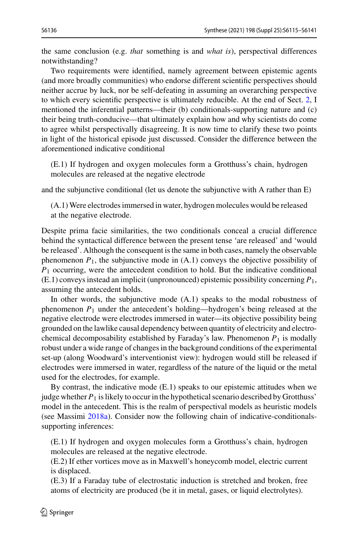the same conclusion (e.g. *that* something is and *what is*), perspectival differences notwithstanding?

Two requirements were identified, namely agreement between epistemic agents (and more broadly communities) who endorse different scientific perspectives should neither accrue by luck, nor be self-defeating in assuming an overarching perspective to which every scientific perspective is ultimately reducible. At the end of Sect. [2,](#page-5-0) I mentioned the inferential patterns—their (b) conditionals-supporting nature and (c) their being truth-conducive—that ultimately explain how and why scientists do come to agree whilst perspectivally disagreeing. It is now time to clarify these two points in light of the historical episode just discussed. Consider the difference between the aforementioned indicative conditional

(E.1) If hydrogen and oxygen molecules form a Grotthuss's chain, hydrogen molecules are released at the negative electrode

and the subjunctive conditional (let us denote the subjunctive with A rather than E)

(A.1) Were electrodes immersed in water, hydrogen molecules would be released at the negative electrode.

Despite prima facie similarities, the two conditionals conceal a crucial difference behind the syntactical difference between the present tense 'are released' and 'would be released'. Although the consequent is the same in both cases, namely the observable phenomenon  $P_1$ , the subjunctive mode in  $(A.1)$  conveys the objective possibility of *P*<sup>1</sup> occurring, were the antecedent condition to hold. But the indicative conditional (E.1) conveys instead an implicit (unpronounced) epistemic possibility concerning *P*1, assuming the antecedent holds.

In other words, the subjunctive mode (A.1) speaks to the modal robustness of phenomenon *P*<sup>1</sup> under the antecedent's holding—hydrogen's being released at the negative electrode were electrodes immersed in water—its objective possibility being grounded on the lawlike causal dependency between quantity of electricity and electrochemical decomposability established by Faraday's law. Phenomenon *P*<sup>1</sup> is modally robust under a wide range of changes in the background conditions of the experimental set-up (along Woodward's interventionist view): hydrogen would still be released if electrodes were immersed in water, regardless of the nature of the liquid or the metal used for the electrodes, for example.

By contrast, the indicative mode  $(E.1)$  speaks to our epistemic attitudes when we judge whether *P*<sup>1</sup> is likely to occur in the hypothetical scenario described by Grotthuss' model in the antecedent. This is the realm of perspectival models as heuristic models (see Massimi [2018a\)](#page-26-19). Consider now the following chain of indicative-conditionalssupporting inferences:

(E.1) If hydrogen and oxygen molecules form a Grotthuss's chain, hydrogen molecules are released at the negative electrode.

(E.2) If ether vortices move as in Maxwell's honeycomb model, electric current is displaced.

(E.3) If a Faraday tube of electrostatic induction is stretched and broken, free atoms of electricity are produced (be it in metal, gases, or liquid electrolytes).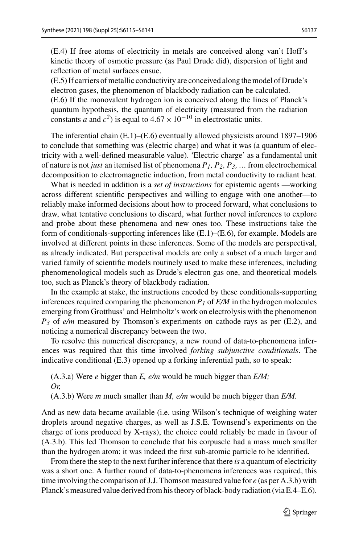(E.4) If free atoms of electricity in metals are conceived along van't Hoff's kinetic theory of osmotic pressure (as Paul Drude did), dispersion of light and reflection of metal surfaces ensue.

(E.5) If carriers of metallic conductivity are conceived along the model of Drude's electron gases, the phenomenon of blackbody radiation can be calculated. (E.6) If the monovalent hydrogen ion is conceived along the lines of Planck's quantum hypothesis, the quantum of electricity (measured from the radiation constants *a* and  $c^2$ ) is equal to  $4.67 \times 10^{-10}$  in electrostatic units.

The inferential chain  $(E.1)$ – $(E.6)$  eventually allowed physicists around 1897–1906 to conclude that something was (electric charge) and what it was (a quantum of electricity with a well-defined measurable value). 'Electric charge' as a fundamental unit of nature is not *just* an itemised list of phenomena *P1, P2, P3, …* from electrochemical decomposition to electromagnetic induction, from metal conductivity to radiant heat.

What is needed in addition is a *set of instructions* for epistemic agents —working across different scientific perspectives and willing to engage with one another—to reliably make informed decisions about how to proceed forward, what conclusions to draw, what tentative conclusions to discard, what further novel inferences to explore and probe about these phenomena and new ones too. These instructions take the form of conditionals-supporting inferences like  $(E.1)$ – $(E.6)$ , for example. Models are involved at different points in these inferences. Some of the models are perspectival, as already indicated. But perspectival models are only a subset of a much larger and varied family of scientific models routinely used to make these inferences, including phenomenological models such as Drude's electron gas one, and theoretical models too, such as Planck's theory of blackbody radiation.

In the example at stake, the instructions encoded by these conditionals-supporting inferences required comparing the phenomenon  $P<sub>I</sub>$  of  $E/M$  in the hydrogen molecules emerging from Grotthuss' and Helmholtz's work on electrolysis with the phenomenon *P3* of *e/m* measured by Thomson's experiments on cathode rays as per (E.2), and noticing a numerical discrepancy between the two.

To resolve this numerical discrepancy, a new round of data-to-phenomena inferences was required that this time involved *forking subjunctive conditionals*. The indicative conditional (E.3) opened up a forking inferential path, so to speak:

(A.3.a) Were *e* bigger than *E, e/m* would be much bigger than *E/M; Or,*

(A.3.b) Were *m* much smaller than *M, e/m* would be much bigger than *E/M.*

And as new data became available (i.e. using Wilson's technique of weighing water droplets around negative charges, as well as J.S.E. Townsend's experiments on the charge of ions produced by X-rays), the choice could reliably be made in favour of (A.3.b). This led Thomson to conclude that his corpuscle had a mass much smaller than the hydrogen atom: it was indeed the first sub-atomic particle to be identified.

From there the step to the next further inference that there *is* a quantum of electricity was a short one. A further round of data-to-phenomena inferences was required, this time involving the comparison of J.J. Thomson measured value for *e* (as per A.3.b) with Planck's measured value derived from his theory of black-body radiation (via E.4–E.6).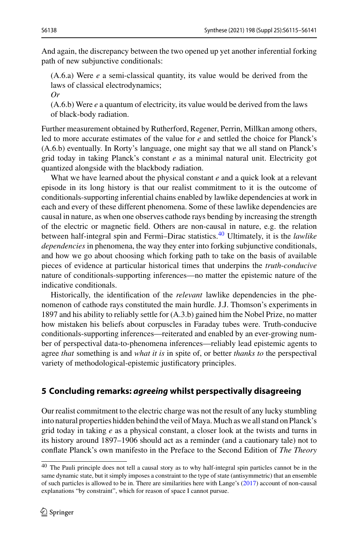And again, the discrepancy between the two opened up yet another inferential forking path of new subjunctive conditionals:

(A.6.a) Were *e* a semi-classical quantity, its value would be derived from the laws of classical electrodynamics;

*Or*

(A.6.b) Were *e* a quantum of electricity, its value would be derived from the laws of black-body radiation.

Further measurement obtained by Rutherford, Regener, Perrin, Millkan among others, led to more accurate estimates of the value for *e* and settled the choice for Planck's (A.6.b) eventually. In Rorty's language, one might say that we all stand on Planck's grid today in taking Planck's constant *e* as a minimal natural unit. Electricity got quantized alongside with the blackbody radiation.

What we have learned about the physical constant *e* and a quick look at a relevant episode in its long history is that our realist commitment to it is the outcome of conditionals-supporting inferential chains enabled by lawlike dependencies at work in each and every of these different phenomena. Some of these lawlike dependencies are causal in nature, as when one observes cathode rays bending by increasing the strength of the electric or magnetic field. Others are non-causal in nature, e.g. the relation between half-integral spin and Fermi–Dirac statistics.[40](#page-23-1) Ultimately, it is the *lawlike dependencies* in phenomena, the way they enter into forking subjunctive conditionals, and how we go about choosing which forking path to take on the basis of available pieces of evidence at particular historical times that underpins the *truth*-*conducive* nature of conditionals-supporting inferences—no matter the epistemic nature of the indicative conditionals.

Historically, the identification of the *relevant* lawlike dependencies in the phenomenon of cathode rays constituted the main hurdle. J.J. Thomson's experiments in 1897 and his ability to reliably settle for (A.3.b) gained him the Nobel Prize, no matter how mistaken his beliefs about corpuscles in Faraday tubes were. Truth-conducive conditionals-supporting inferences—reiterated and enabled by an ever-growing number of perspectival data-to-phenomena inferences—reliably lead epistemic agents to agree *that* something is and *what it is* in spite of, or better *thanks to* the perspectival variety of methodological-epistemic justificatory principles.

## <span id="page-23-0"></span>**5 Concluding remarks:** *agreeing* **whilst perspectivally disagreeing**

Our realist commitment to the electric charge was not the result of any lucky stumbling into natural properties hidden behind the veil of Maya. Much as we all stand on Planck's grid today in taking *e* as a physical constant, a closer look at the twists and turns in its history around 1897–1906 should act as a reminder (and a cautionary tale) not to conflate Planck's own manifesto in the Preface to the Second Edition of *The Theory*

<span id="page-23-1"></span><sup>&</sup>lt;sup>40</sup> The Pauli principle does not tell a causal story as to why half-integral spin particles cannot be in the same dynamic state, but it simply imposes a constraint to the type of state (antisymmetric) that an ensemble of such particles is allowed to be in. There are similarities here with Lange's [\(2017\)](#page-25-33) account of non-causal explanations "by constraint", which for reason of space I cannot pursue.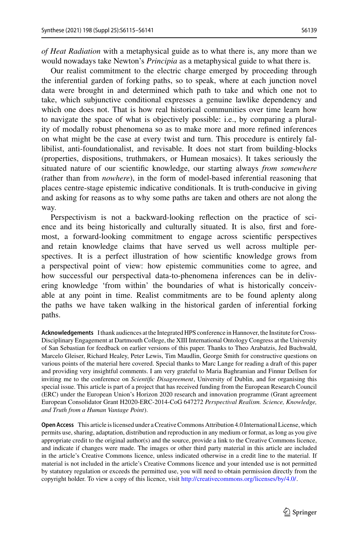*of Heat Radiation* with a metaphysical guide as to what there is, any more than we would nowadays take Newton's *Principia* as a metaphysical guide to what there is.

Our realist commitment to the electric charge emerged by proceeding through the inferential garden of forking paths, so to speak, where at each junction novel data were brought in and determined which path to take and which one not to take, which subjunctive conditional expresses a genuine lawlike dependency and which one does not. That is how real historical communities over time learn how to navigate the space of what is objectively possible: i.e., by comparing a plurality of modally robust phenomena so as to make more and more refined inferences on what might be the case at every twist and turn. This procedure is entirely fallibilist, anti-foundationalist, and revisable. It does not start from building-blocks (properties, dispositions, truthmakers, or Humean mosaics). It takes seriously the situated nature of our scientific knowledge, our starting always *from somewhere* (rather than from *nowhere*), in the form of model-based inferential reasoning that places centre-stage epistemic indicative conditionals. It is truth-conducive in giving and asking for reasons as to why some paths are taken and others are not along the way.

Perspectivism is not a backward-looking reflection on the practice of science and its being historically and culturally situated. It is also, first and foremost, a forward-looking commitment to engage across scientific perspectives and retain knowledge claims that have served us well across multiple perspectives. It is a perfect illustration of how scientific knowledge grows from a perspectival point of view: how epistemic communities come to agree, and how successful our perspectival data-to-phenomena inferences can be in delivering knowledge 'from within' the boundaries of what is historically conceivable at any point in time. Realist commitments are to be found aplenty along the paths we have taken walking in the historical garden of inferential forking paths.

**Acknowledgements** I thank audiences at the Integrated HPS conference in Hannover, the Institute for Cross-Disciplinary Engagement at Dartmouth College, the XIII International Ontology Congress at the University of San Sebastian for feedback on earlier versions of this paper. Thanks to Theo Arabatzis, Jed Buchwald, Marcelo Gleiser, Richard Healey, Peter Lewis, Tim Maudlin, George Smith for constructive questions on various points of the material here covered. Special thanks to Marc Lange for reading a draft of this paper and providing very insightful comments. I am very grateful to Maria Baghramian and Finnur Dellsen for inviting me to the conference on *Scientific Disagreement*, University of Dublin, and for organising this special issue. This article is part of a project that has received funding from the European Research Council (ERC) under the European Union's Horizon 2020 research and innovation programme (Grant agreement European Consolidator Grant H2020-ERC-2014-CoG 647272 *Perspectival Realism. Science, Knowledge, and Truth from a Human Vantage Point*).

**Open Access** This article is licensed under a Creative Commons Attribution 4.0 International License, which permits use, sharing, adaptation, distribution and reproduction in any medium or format, as long as you give appropriate credit to the original author(s) and the source, provide a link to the Creative Commons licence, and indicate if changes were made. The images or other third party material in this article are included in the article's Creative Commons licence, unless indicated otherwise in a credit line to the material. If material is not included in the article's Creative Commons licence and your intended use is not permitted by statutory regulation or exceeds the permitted use, you will need to obtain permission directly from the copyright holder. To view a copy of this licence, visit [http://creativecommons.org/licenses/by/4.0/.](http://creativecommons.org/licenses/by/4.0/)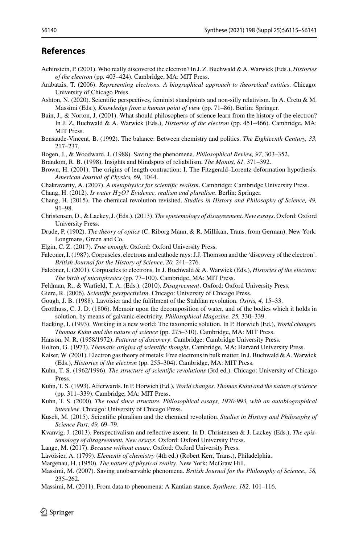#### **References**

- <span id="page-25-6"></span>Achinstein, P. (2001). Who really discovered the electron? In J. Z. Buchwald & A. Warwick (Eds.), *Histories of the electron* (pp. 403–424). Cambridge, MA: MIT Press.
- <span id="page-25-31"></span>Arabatzis, T. (2006). *Representing electrons. A biographical approach to theoretical entities*. Chicago: University of Chicago Press.
- <span id="page-25-26"></span>Ashton, N. (2020). Scientific perspectives, feminist standpoints and non-silly relativism. In A. Cretu & M. Massimi (Eds.), *Knowledge from a human point of view* (pp. 71–86). Berlin: Springer.
- <span id="page-25-14"></span>Bain, J., & Norton, J. (2001). What should philosophers of science learn from the history of the electron? In J. Z. Buchwald & A. Warwick (Eds.), *Histories of the electron* (pp. 451–466). Cambridge, MA: MIT Press.
- <span id="page-25-24"></span>Bensaude-Vincent, B. (1992). The balance: Between chemistry and politics. *The Eighteenth Century, 33,* 217–237.
- <span id="page-25-1"></span>Bogen, J., & Woodward, J. (1988). Saving the phenomena. *Philosophical Review, 97,* 303–352.
- <span id="page-25-25"></span>Brandom, R. B. (1998). Insights and blindspots of reliabilism. *The Monist, 81,* 371–392.
- <span id="page-25-21"></span>Brown, H. (2001). The origins of length contraction: I. The Fitzgerald–Lorentz deformation hypothesis. *American Journal of Physics, 69,* 1044.
- <span id="page-25-13"></span>Chakravartty, A. (2007). *A metaphysics for scientific realism*. Cambridge: Cambridge University Press.
- <span id="page-25-2"></span>Chang, H. (2012). *Is water H2O? Evidence, realism and pluralism*. Berlin: Springer.
- <span id="page-25-3"></span>Chang, H. (2015). The chemical revolution revisited. *Studies in History and Philosophy of Science, 49,* 91–98.
- <span id="page-25-19"></span>Christensen, D., & Lackey, J. (Eds.). (2013). *The epistemology of disagreement. New essays*. Oxford: Oxford University Press.
- <span id="page-25-32"></span>Drude, P. (1902). *The theory of optics* (C. Riborg Mann, & R. Millikan, Trans. from German). New York: Longmans, Green and Co.
- <span id="page-25-17"></span>Elgin, C. Z. (2017). *True enough*. Oxford: Oxford University Press.
- <span id="page-25-27"></span>Falconer, I. (1987). Corpuscles, electrons and cathode rays: J.J. Thomson and the 'discovery of the electron'. *British Journal for the History of Science, 20,* 241–276.
- <span id="page-25-5"></span>Falconer, I. (2001). Corpuscles to electrons. In J. Buchwald & A. Warwick (Eds.), *Histories of the electron: The birth of microphysics* (pp. 77–100). Cambridge, MA: MIT Press.
- <span id="page-25-18"></span>Feldman, R., & Warfield, T. A. (Eds.). (2010). *Disagreement*. Oxford: Oxford University Press.
- <span id="page-25-12"></span>Giere, R. (2006). *Scientific perspectivism*. Chicago: University of Chicago Press.
- <span id="page-25-23"></span>Gough, J. B. (1988). Lavoisier and the fulfilment of the Stahlian revolution. *Osiris, 4,* 15–33.
- <span id="page-25-28"></span>Grotthuss, C. J. D. (1806). Memoir upon the decomposition of water, and of the bodies which it holds in solution, by means of galvanic electricity. *Philosophical Magazine, 25,* 330–339.
- <span id="page-25-11"></span>Hacking, I. (1993). Working in a new world: The taxonomic solution. In P. Horwich (Ed.), *World changes. Thomas Kuhn and the nature of science* (pp. 275–310). Cambridge, MA: MIT Press.
- <span id="page-25-15"></span>Hanson, N. R. (1958/1972). *Patterns of discovery*. Cambridge: Cambridge University Press.
- <span id="page-25-29"></span>Holton, G. (1973). *Thematic origins of scientific thought*. Cambridge, MA: Harvard University Press.
- <span id="page-25-30"></span>Kaiser, W. (2001). Electron gas theory of metals: Free electrons in bulk matter. In J. Buchwald & A. Warwick (Eds.), *Histories of the electron* (pp. 255–304). Cambridge, MA: MIT Press.
- <span id="page-25-0"></span>Kuhn, T. S. (1962/1996). *The structure of scientific revolutions* (3rd ed.). Chicago: University of Chicago Press.
- <span id="page-25-9"></span>Kuhn, T. S. (1993). Afterwards. In P. Horwich (Ed.), *World changes. Thomas Kuhn and the nature of science* (pp. 311–339). Cambridge, MA: MIT Press.
- <span id="page-25-10"></span>Kuhn, T. S. (2000). *The road since structure. Philosophical essays, 1970-993, with an autobiographical interview*. Chicago: University of Chicago Press.
- <span id="page-25-4"></span>Kusch, M. (2015). Scientific pluralism and the chemical revolution. *Studies in History and Philosophy of Science Part, 49,* 69–79.
- <span id="page-25-20"></span>Kvanvig, J. (2013). Perspectivalism and reflective ascent. In D. Christensen & J. Lackey (Eds.), *The epistemology of disagreement. New essays*. Oxford: Oxford University Press.
- <span id="page-25-33"></span>Lange, M. (2017). *Because without cause*. Oxford: Oxford University Press.
- <span id="page-25-22"></span>Lavoisier, A. (1799). *Elements of chemistry* (4th ed.) (Robert Kerr, Trans.), Philadelphia.
- <span id="page-25-16"></span>Margenau, H. (1950). *The nature of physical reality*. New York: McGraw Hill.
- <span id="page-25-7"></span>Massimi, M. (2007). Saving unobservable phenomena. *British Journal for the Philosophy of Science., 58,* 235–262.
- <span id="page-25-8"></span>Massimi, M. (2011). From data to phenomena: A Kantian stance. *Synthese, 182,* 101–116.